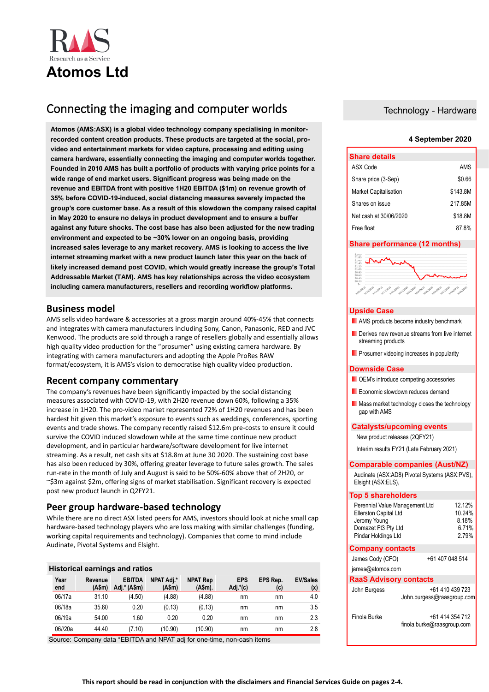

# Connecting the imaging and computer worlds

**Atomos (AMS:ASX) is a global video technology company specialising in monitorrecorded content creation products. These products are targeted at the social, provideo and entertainment markets for video capture, processing and editing using camera hardware, essentially connecting the imaging and computer worlds together. Founded in 2010 AMS has built a portfolio of products with varying price points for a wide range of end market users. Significant progress was being made on the revenue and EBITDA front with positive 1H20 EBITDA (\$1m) on revenue growth of 35% before COVID-19-induced, social distancing measures severely impacted the group's core customer base. As a result of this slowdown the company raised capital in May 2020 to ensure no delays in product development and to ensure a buffer against any future shocks. The cost base has also been adjusted for the new trading environment and expected to be ~30% lower on an ongoing basis, providing increased sales leverage to any market recovery. AMS is looking to access the live internet streaming market with a new product launch later this year on the back of likely increased demand post COVID, which would greatly increase the group's Total Addressable Market (TAM). AMS has key relationships across the video ecosystem including camera manufacturers, resellers and recording workflow platforms.** 

# **Business model**

AMS sells video hardware & accessories at a gross margin around 40%-45% that connects and integrates with camera manufacturers including Sony, Canon, Panasonic, RED and JVC Kenwood. The products are sold through a range of resellers globally and essentially allows high quality video production for the "prosumer" using existing camera hardware. By integrating with camera manufacturers and adopting the Apple ProRes RAW format/ecosystem, it is AMS's vision to democratise high quality video production.

# **Recent company commentary**

The company's revenues have been significantly impacted by the social distancing measures associated with COVID-19, with 2H20 revenue down 60%, following a 35% increase in 1H20. The pro-video market represented 72% of 1H20 revenues and has been hardest hit given this market's exposure to events such as weddings, conferences, sporting events and trade shows. The company recently raised \$12.6m pre-costs to ensure it could survive the COVID induced slowdown while at the same time continue new product development, and in particular hardware/software development for live internet streaming. As a result, net cash sits at \$18.8m at June 30 2020. The sustaining cost base has also been reduced by 30%, offering greater leverage to future sales growth. The sales run-rate in the month of July and August is said to be 50%-60% above that of 2H20, or ~\$3m against \$2m, offering signs of market stabilisation. Significant recovery is expected post new product launch in Q2FY21.

# **Peer group hardware-based technology**

While there are no direct ASX listed peers for AMS, investors should look at niche small cap hardware-based technology players who are loss making with similar challenges (funding, working capital requirements and technology). Companies that come to mind include Audinate, Pivotal Systems and Elsight.

# **Historical earnings and ratios**

| Year<br>end | Revenue<br>(Asm) | <b>EBITDA</b><br>Adj.* (A\$m) | NPAT Adj.*<br>(A\$m) | <b>NPAT Rep</b><br>(A\$m). | <b>EPS</b><br>Adj.*(c) | EPS Rep.<br>(c) | <b>EV/Sales</b><br>(x) |
|-------------|------------------|-------------------------------|----------------------|----------------------------|------------------------|-----------------|------------------------|
| 06/17a      | 31.10            | (4.50)                        | (4.88)               | (4.88)                     | nm                     | nm              | 4.0                    |
| 06/18a      | 35.60            | 0.20                          | (0.13)               | (0.13)                     | nm                     | nm              | 3.5                    |
| 06/19a      | 54.00            | 1.60                          | 0.20                 | 0.20                       | nm                     | nm              | 2.3                    |
| 06//20a     | 44.40            | (7.10)                        | (10.90)              | (10.90)                    | nm                     | nm              | 2.8                    |

Source: Company data \*EBITDA and NPAT adj for one-time, non-cash items

# Technology - Hardware

# **4 September 2020**

| <b>Share details</b>         |          |
|------------------------------|----------|
| ASX Code                     | AMS      |
| Share price (3-Sep)          | \$0.66   |
| <b>Market Capitalisation</b> | \$143.8M |
| Shares on issue              | 217.85M  |
| Net cash at 30/06/2020       | \$18.8M  |
| Free float                   | 87.8%    |

# **Share performance (12 months)**



# **Upside Case**

- **AMS** products become industry benchmark
- **Derives new revenue streams from live internet** streaming products
- **Prosumer videoing increases in popularity**

# **Downside Case**

- **DEM's introduce competing accessories**
- **Exercise Economic slowdown reduces demand**
- **Mass market technology closes the technology** gap with AMS

#### **Catalysts/upcoming events**

New product releases (2QFY21)

Interim results FY21 (Late February 2021)

# **Comparable companies (Aust/NZ)**

Audinate (ASX:AD8) Pivotal Systems (ASX:PVS), Elsight (ASX:ELS),

#### **Top 5 shareholders**

| Perennial Value Management Ltd<br>Ellerston Capital Ltd<br>Jeromy Young<br>Domazet Ft3 Pty Ltd<br>Pindar Holdings Ltd | 12.12%<br>10.24%<br>8.18%<br>6.71%<br>2.79% |
|-----------------------------------------------------------------------------------------------------------------------|---------------------------------------------|
| <b>Company contacts</b>                                                                                               |                                             |
| $1 - \cdots - 2 - 1 - 12222$                                                                                          | 0.41070001                                  |

James Cody (CFO) +61 407 048 514 james@atomos.com

# **RaaS Advisory contacts**

| John Burgess | +61 410 439 723<br>John.burgess@raasgroup.com |
|--------------|-----------------------------------------------|
| Finola Burke | +61 414 354 712<br>finola.burke@raasgroup.com |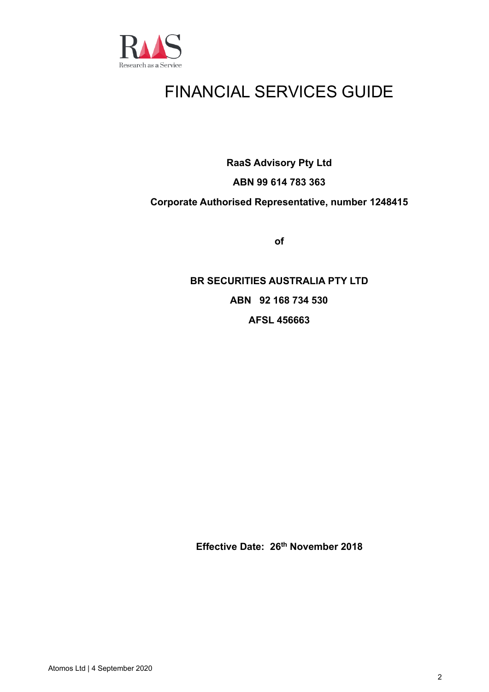

# FINANCIAL SERVICES GUIDE

**RaaS Advisory Pty Ltd**

# **ABN 99 614 783 363**

# **Corporate Authorised Representative, number 1248415**

**of**

**BR SECURITIES AUSTRALIA PTY LTD ABN 92 168 734 530 AFSL 456663**

**Effective Date: 26th November 2018**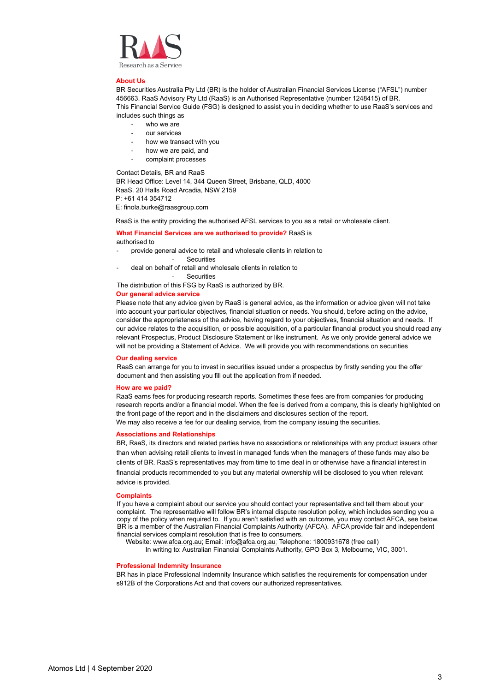

#### **About Us**

BR Securities Australia Pty Ltd (BR) is the holder of Australian Financial Services License ("AFSL") number 456663. RaaS Advisory Pty Ltd (RaaS) is an Authorised Representative (number 1248415) of BR. This Financial Service Guide (FSG) is designed to assist you in deciding whether to use RaaS's services and includes such things as

- who we are
- our services
- how we transact with you
- how we are paid, and
- complaint processes

Contact Details, BR and RaaS

BR Head Office: Level 14, 344 Queen Street, Brisbane, QLD, 4000 RaaS. 20 Halls Road Arcadia, NSW 2159 P: +61 414 354712

E: finola.burke@raasgroup.com

RaaS is the entity providing the authorised AFSL services to you as a retail or wholesale client.

#### **What Financial Services are we authorised to provide?** RaaS is authorised to

- provide general advice to retail and wholesale clients in relation to
	- Securities
- deal on behalf of retail and wholesale clients in relation to

**Securities** 

The distribution of this FSG by RaaS is authorized by BR.

#### **Our general advice service**

Please note that any advice given by RaaS is general advice, as the information or advice given will not take into account your particular objectives, financial situation or needs. You should, before acting on the advice, consider the appropriateness of the advice, having regard to your objectives, financial situation and needs. If our advice relates to the acquisition, or possible acquisition, of a particular financial product you should read any relevant Prospectus, Product Disclosure Statement or like instrument. As we only provide general advice we will not be providing a Statement of Advice. We will provide you with recommendations on securities

# **Our dealing service**

RaaS can arrange for you to invest in securities issued under a prospectus by firstly sending you the offer document and then assisting you fill out the application from if needed.

#### **How are we paid?**

RaaS earns fees for producing research reports. Sometimes these fees are from companies for producing research reports and/or a financial model. When the fee is derived from a company, this is clearly highlighted on the front page of the report and in the disclaimers and disclosures section of the report. We may also receive a fee for our dealing service, from the company issuing the securities.

# **Associations and Relationships**

BR, RaaS, its directors and related parties have no associations or relationships with any product issuers other than when advising retail clients to invest in managed funds when the managers of these funds may also be clients of BR. RaaS's representatives may from time to time deal in or otherwise have a financial interest in financial products recommended to you but any material ownership will be disclosed to you when relevant advice is provided.

#### **Complaints**

If you have a complaint about our service you should contact your representative and tell them about your complaint. The representative will follow BR's internal dispute resolution policy, which includes sending you a copy of the policy when required to. If you aren't satisfied with an outcome, you may contact AFCA, see below. BR is a member of the Australian Financial Complaints Authority (AFCA). AFCA provide fair and independent financial services complaint resolution that is free to consumers.

Website[: www.afca.org.au;](http://www.afca.org.au/) Email[: info@afca.org.au;](mailto:info@afca.org.au) Telephone: 1800931678 (free call)

In writing to: Australian Financial Complaints Authority, GPO Box 3, Melbourne, VIC, 3001.

## **Professional Indemnity Insurance**

BR has in place Professional Indemnity Insurance which satisfies the requirements for compensation under s912B of the Corporations Act and that covers our authorized representatives.